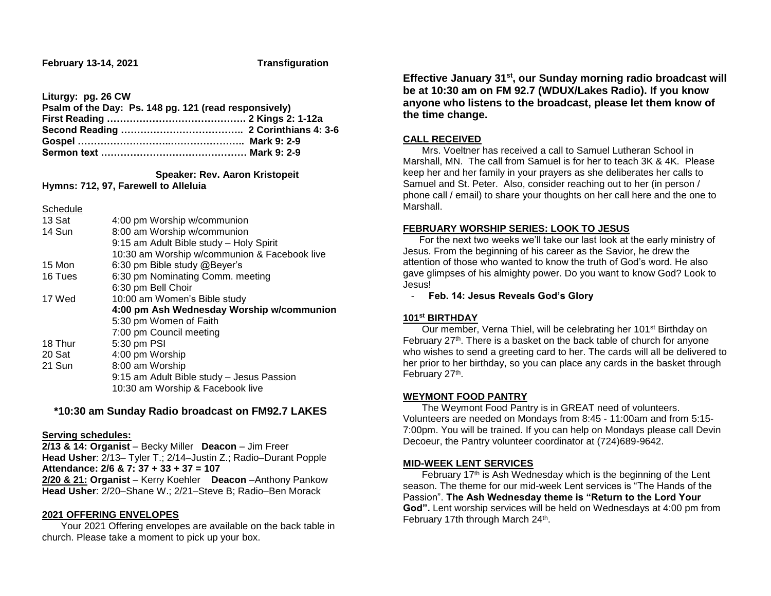**Liturgy: pg. 26 CW**

| Psalm of the Day: Ps. 148 pg. 121 (read responsively) |  |  |
|-------------------------------------------------------|--|--|
|                                                       |  |  |
|                                                       |  |  |
|                                                       |  |  |
|                                                       |  |  |

 **Speaker: Rev. Aaron Kristopeit**

**Hymns: 712, 97, Farewell to Alleluia**

**Schedule** 

| 13 Sat                                    | 4:00 pm Worship w/communion                  |  |  |
|-------------------------------------------|----------------------------------------------|--|--|
| 14 Sun                                    | 8:00 am Worship w/communion                  |  |  |
|                                           | 9:15 am Adult Bible study - Holy Spirit      |  |  |
|                                           | 10:30 am Worship w/communion & Facebook live |  |  |
| 15 Mon                                    | 6:30 pm Bible study @Beyer's                 |  |  |
| 16 Tues                                   | 6:30 pm Nominating Comm. meeting             |  |  |
|                                           | 6:30 pm Bell Choir                           |  |  |
| 17 Wed                                    | 10:00 am Women's Bible study                 |  |  |
| 4:00 pm Ash Wednesday Worship w/communion |                                              |  |  |
|                                           | 5:30 pm Women of Faith                       |  |  |
|                                           | 7:00 pm Council meeting                      |  |  |
| 18 Thur                                   | 5:30 pm PSI                                  |  |  |
| 20 Sat                                    | 4:00 pm Worship                              |  |  |
| 21 Sun                                    | 8:00 am Worship                              |  |  |
|                                           | 9:15 am Adult Bible study - Jesus Passion    |  |  |
|                                           | 10:30 am Worship & Facebook live             |  |  |
|                                           |                                              |  |  |

# **\*10:30 am Sunday Radio broadcast on FM92.7 LAKES**

#### **Serving schedules:**

**2/13 & 14: Organist** – Becky Miller **Deacon** – Jim Freer **Head Usher**: 2/13– Tyler T.; 2/14–Justin Z.; Radio–Durant Popple **Attendance: 2/6 & 7: 37 + 33 + 37 = 107 2/20 & 21: Organist** – Kerry Koehler **Deacon** –Anthony Pankow **Head Usher**: 2/20–Shane W.; 2/21–Steve B; Radio–Ben Morack

#### **2021 OFFERING ENVELOPES**

 Your 2021 Offering envelopes are available on the back table in church. Please take a moment to pick up your box.

**Effective January 31st, our Sunday morning radio broadcast will be at 10:30 am on FM 92.7 (WDUX/Lakes Radio). If you know anyone who listens to the broadcast, please let them know of the time change.**

## **CALL RECEIVED**

 Mrs. Voeltner has received a call to Samuel Lutheran School in Marshall, MN. The call from Samuel is for her to teach 3K & 4K. Please keep her and her family in your prayers as she deliberates her calls to Samuel and St. Peter. Also, consider reaching out to her (in person / phone call / email) to share your thoughts on her call here and the one to Marshall.

#### **FEBRUARY WORSHIP SERIES: LOOK TO JESUS**

 For the next two weeks we'll take our last look at the early ministry of Jesus. From the beginning of his career as the Savior, he drew the attention of those who wanted to know the truth of God's word. He also gave glimpses of his almighty power. Do you want to know God? Look to Jesus!

- **Feb. 14: Jesus Reveals God's Glory**

## **101st BIRTHDAY**

 Our member, Verna Thiel, will be celebrating her 101st Birthday on February 27<sup>th</sup>. There is a basket on the back table of church for anyone who wishes to send a greeting card to her. The cards will all be delivered to her prior to her birthday, so you can place any cards in the basket through February 27<sup>th</sup>.

## **WEYMONT FOOD PANTRY**

 The Weymont Food Pantry is in GREAT need of volunteers. Volunteers are needed on Mondays from 8:45 - 11:00am and from 5:15- 7:00pm. You will be trained. If you can help on Mondays please call Devin Decoeur, the Pantry volunteer coordinator at (724)689-9642.

## **MID-WEEK LENT SERVICES**

 February 17th is Ash Wednesday which is the beginning of the Lent season. The theme for our mid-week Lent services is "The Hands of the Passion". **The Ash Wednesday theme is "Return to the Lord Your God".** Lent worship services will be held on Wednesdays at 4:00 pm from February 17th through March 24<sup>th</sup>.